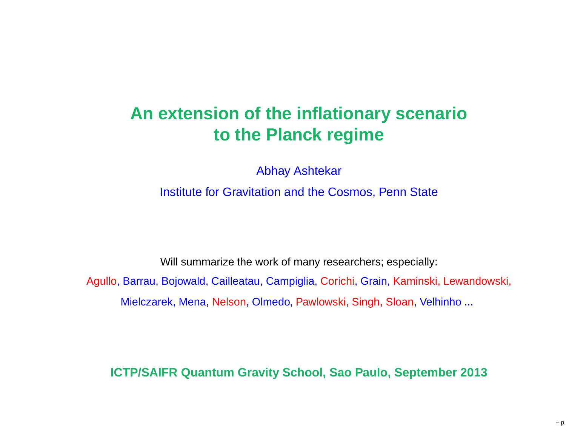#### **An extension of the inflationary scenarioto the Planck regime**

Abhay Ashtekar

Institute for Gravitation and the Cosmos, Penn State

Will summarize the work of many researchers; especially: Agullo, Barrau, Bojowald, Cailleatau, Campiglia, Corichi, Grain, Kaminski, Lewandowski,

Mielczarek, Mena, Nelson, Olmedo, Pawlowski, Singh, Sloan, Velhinho ...

**ICTP/SAIFR Quantum Gravity School, Sao Paulo, September 2013**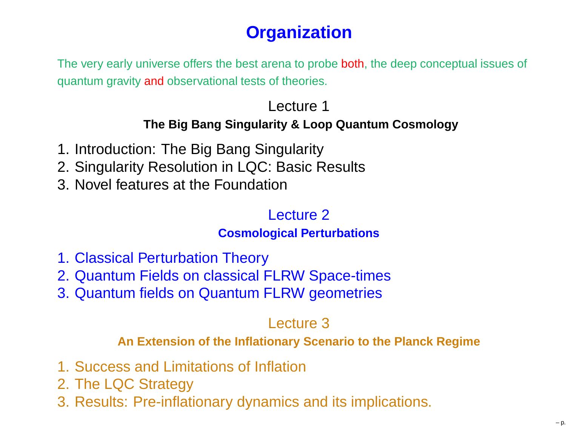## **Organization**

The very early universe offers the best arena to probe <mark>both</mark>, the deep conceptual issues of quantum gravity <mark>and</mark> observational tests of theories.

#### Lecture 1**The Big Bang Singularity & Loop Quantum Cosmology**

- 1. Introduction: The Big Bang Singularity
- 2. Singularity Resolution in LQC: Basic Results
- 3. Novel features at the Foundation

#### Lecture 2**Cosmological Perturbations**

- 1. Classical Perturbation Theory
- 2. Quantum Fields on classical FLRW Space-times
- 3. Quantum fields on Quantum FLRW geometries

#### Lecture 3

**An Extension of the Inflationary Scenario to the Planck Regime**

- 1. Success and Limitations of Inflation
- 2. The LQC Strategy
- 3. Results: Pre-inflationary dynamics and its implications.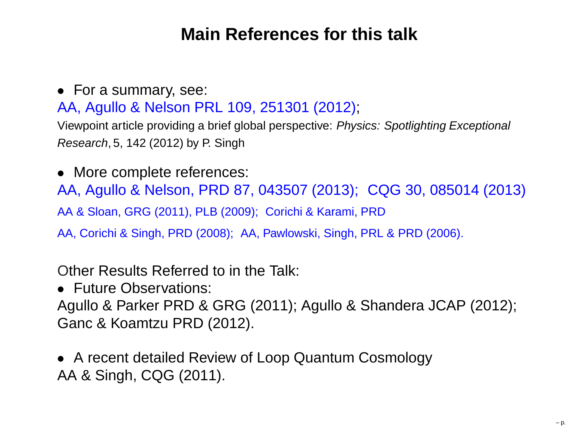#### **Main References for this talk**

#### • For <sup>a</sup> summary, see: AA, Agullo & Nelson PRL 109, 251301 (2012); Viewpoint article providing <sup>a</sup> brief global perspective: Physics: Spotlighting Exceptional

Research, 5, <sup>142</sup> (2012) by P. Singh

• More complete references:

AA, Agullo & Nelson, PRD 87, 043507 (2013); CQG 30, 085014 (2013)AA & Sloan, GRG (2011), PLB (2009); Corichi & Karami, PRD

AA, Corichi & Singh, PRD (2008); AA, Pawlowski, Singh, PRL & PRD (2006).

Other Results Referred to in the Talk:

• Future Observations:

Agullo & Parker PRD & GRG (2011); Agullo & Shandera JCAP (2012); Ganc & Koamtzu PRD (2012).

• <sup>A</sup> recent detailed Review of Loop Quantum Cosmology AA & Singh, CQG (2011).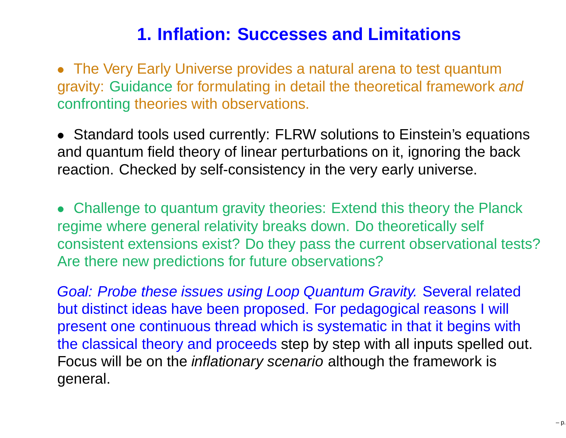#### **1. Inflation: Successes and Limitations**

• The Very Early Universe provides <sup>a</sup> natural arena to test quantumgravity: Guidance for formulating in detail the theoretical framework and confronting theories with observations.

• Standard tools used currently: FLRW solutions to Einstein's equations and quantum field theory of linear perturbations on it, ignoring the backreaction. Checked by self-consistency in the very early universe.

• Challenge to quantum gravity theories: Extend this theory the Planck regime where general relativity breaks down. Do theoretically self consistent extensions exist? Do they pass the current observational tests?Are there new predictions for future observations?

Goal: Probe these issues using Loop Quantum Gravity. Several relatedbut distinct ideas have been proposed. For pedagogical reasons I will present one continuous thread which is systematic in that it begins withthe classical theory and proceeds step by step with all inputs spelled out. Focus will be on the *inflationary scenario* although the framework is general.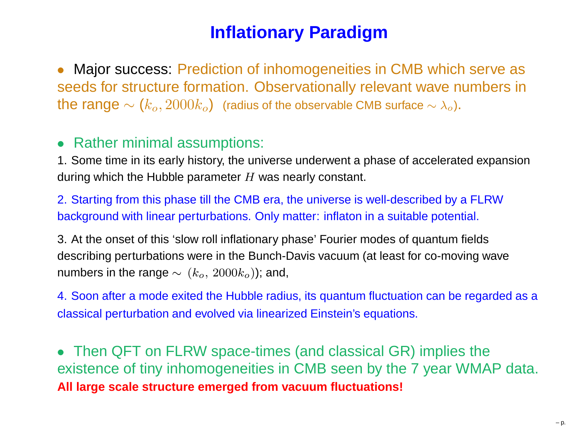#### **Inflationary Paradigm**

• Major success: Prediction of inhomogeneities in CMB which serve as seeds for structure formation. Observationally relevant wave numbers inthe range  $\sim (k_o, 2000 k_o)$  (radius of the observable CMB surface  $\sim \lambda_o$ ).

#### $\bullet$ Rather minimal assumptions:

1. Some time in its early history, the universe underwent <sup>a</sup> phase of accelerated expansionduring which the Hubble parameter  $H$  was nearly constant.

2. Starting from this phase till the CMB era, the universe is well-described by <sup>a</sup> FLRWbackground with linear perturbations. Only matter: inflaton in <sup>a</sup> suitable potential.

3. At the onset of this 'slow roll inflationary phase' Fourier modes of quantum fieldsdescribing perturbations were in the Bunch-Davis vacuum (at least for co-moving wavenumbers in the range  $\sim(k_o,\,2000k_o)$ ); and,

4. Soon after <sup>a</sup> mode exited the Hubble radius, its quantum fluctuation can be regarded as <sup>a</sup>classical perturbation and evolved via linearized Einstein's equations.

• Then QFT on FLRW space-times (and classical GR) implies the existence of tiny inhomogeneities in CMB seen by the <sup>7</sup> year WMAP data. **All large scale structure emerged from vacuum fluctuations!**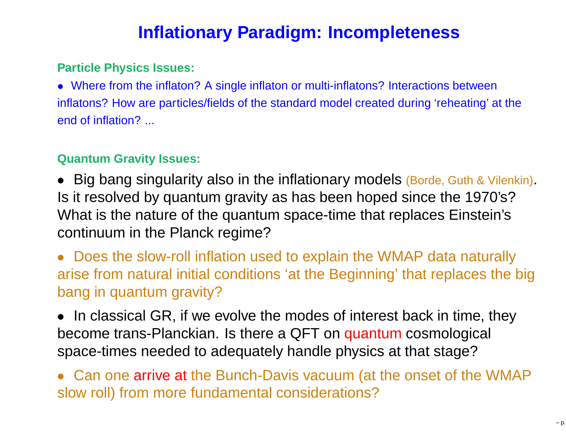### **Inflationary Paradigm: Incompleteness**

#### **Particle Physics Issues:**

• Where from the inflaton? <sup>A</sup> single inflaton or multi-inflatons? Interactions between inflatons? How are particles/fields of the standard model created during 'reheating' at theend of inflation? ...

#### **Quantum Gravity Issues:**

• Big bang singularity also in the inflationary models (Borde, Guth & Vilenkin). Is it resolved by quantum gravity as has been hoped since the 1970's? What is the nature of the quantum space-time that replaces Einstein'scontinuum in the Planck regime?

• Does the slow-roll inflation used to explain the WMAP data naturally arise from natural initial conditions 'at the Beginning' that replaces the bigbang in quantum gravity?

• In classical GR, if we evolve the modes of interest back in time, they become trans-Planckian. Is there a QFT on quantum cosmological<br>space, times peodod to adequately bendle physics of that stoge? space-times needed to adequately handle physics at that stage?

• Can one arrive at the Bunch-Davis vacuum (at the onset of the WMAP slow roll) from more fundamental considerations?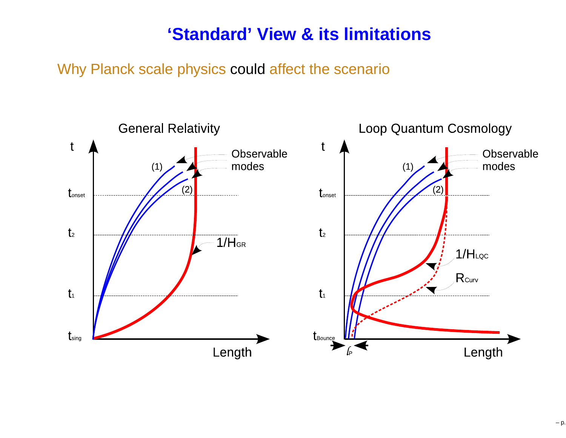#### **'Standard' View & its limitations**

Why Planck scale physics could affect the scenario

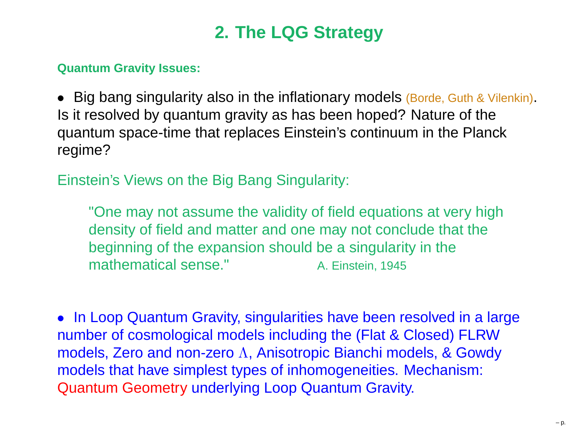## **2. The LQG Strategy**

#### **Quantum Gravity Issues:**

• Big bang singularity also in the inflationary models (Borde, Guth & Vilenkin). Is it resolved by quantum gravity as has been hoped? Nature of the quantum space-time that replaces Einstein's continuum in the Planckregime?

Einstein's Views on the Big Bang Singularity:

"One may not assume the validity of field equations at very highdensity of field and matter and one may not conclude that thebeginning of the expansion should be <sup>a</sup> singularity in themathematical sense."A. Einstein, <sup>1945</sup>

• In Loop Quantum Gravity, singularities have been resolved in <sup>a</sup> largenumber of cosmological models including the (Flat & Closed) FLRWmodels, Zero and non-zero <sup>Λ</sup>, Anisotropic Bianchi models, & Gowdy models that have simplest types of inhomogeneities. Mechanism: Quantum Geometry underlying Loop Quantum Gravity.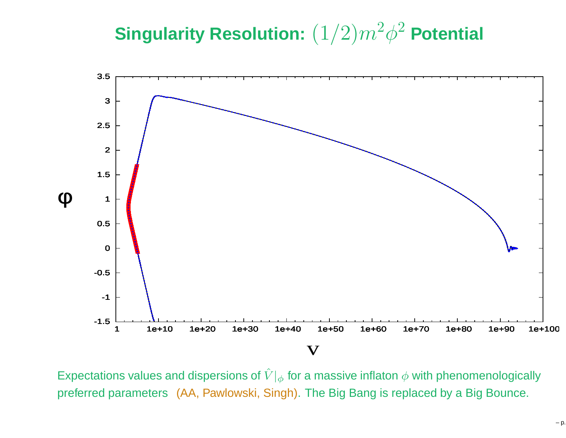#### **Singularity Resolution:** (1/2)m2 $^{2}\phi^{2}$  Potential



Expectations values and dispersions of  $\hat{V}|_\phi$  for a massive inflaton  $\phi$  with phenomenologically preferred parameters (AA, Pawlowski, Singh). The Big Bang is replaced by <sup>a</sup> Big Bounce.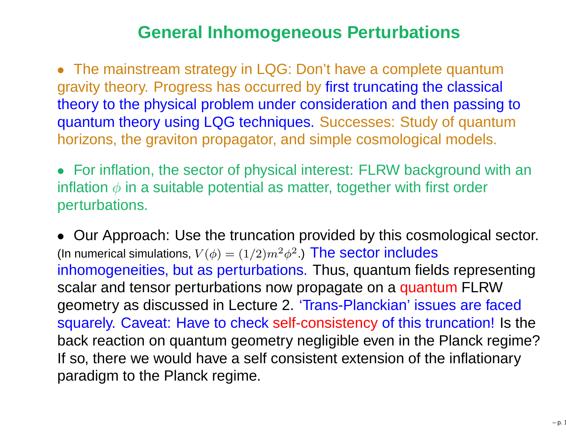#### **General Inhomogeneous Perturbations**

• The mainstream strategy in LQG: Don't have <sup>a</sup> complete quantum gravity theory. Progress has occurred by first truncating the classical theory to the physical problem under consideration and then passing to quantum theory using LQG techniques. Successes: Study of quantumhorizons, the graviton propagator, and simple cosmological models.

• For inflation, the sector of physical interest: FLRW background with aninflation  $\phi$  in a suitable potential as matter, together with first order perturbations.

• Our Approach: Use the truncation provided by this cosmological sector. (In numerical simulations,  $V(\phi)=(1/2)m^2$  inhomogeneities, but as perturbations. Thus, quantum fields representing $^{2}\phi^{2}.$ ) The sector includes scalar and tensor perturbations now propagate on a quantum FLRW<br>coemetry as discussed in Lecture 2, 'Trene Planckien' issues are fac geometry as discussed in Lecture 2. 'Trans-Planckian' issues are faced squarely. Caveat: Have to check self-consistency of this truncation! Is the back reaction on quantum geometry negligible even in the Planck regime?If so, there we would have <sup>a</sup> self consistent extension of the inflationaryparadigm to the Planck regime.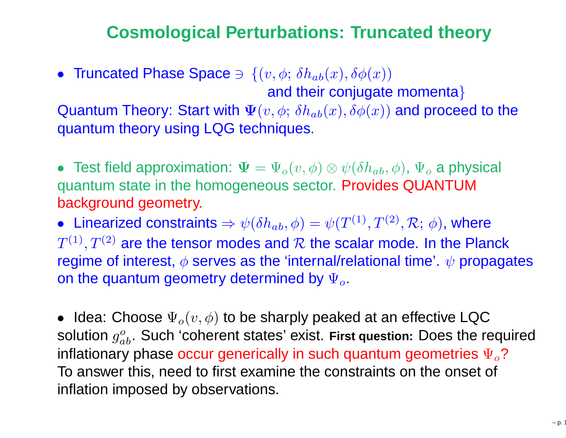### **Cosmological Perturbations: Truncated theory**

• Truncated Phase Space  $\Rightarrow$   $\{(v, \phi; \delta h_{ab}(x), \delta \phi(x))\}$ and their conjugate momenta $\}$ 

Quantum Theory: Start with  $\boldsymbol{\Psi}(v,\phi; \,\delta h_{ab}(x),\delta\phi(x))$  and proceed to the  $\cdot$  + quantum theory using LQG techniques.

• Test field approximation:  $\Psi = \Psi$ <br>quantum state in the hemogeneous  $_{o}(\mathit{v},\phi)\otimes\psi(\delta h_{ab},\phi)$ ,  $\Psi_{o}$ **Contract Contract Contract**  quantum state in the homogeneous sector. Provides QUANTUM $_{o}$  a physical background geometry.

 $\bullet~$  Linearized constraints  $\Rightarrow \psi(\delta h_{ab},\phi)=\psi(T^{(1)},T^{(2)},\mathcal{R};~\phi)$ , where  $T^{(1)}, T^{(2)}$  are the tensor modes and  $R$  the scalar mode. In the Planck<br>regime of interest  $\phi$  serves as the 'internal/relational time', wherease regime of interest,  $\phi$  serves as the 'internal/relational time'.  $\psi$  propagates on the quantum geometry determined by  $\Psi_o.$ 

 $\bullet\;$  Idea: Choose  $\Psi_o(v,\phi)$  to be sharply peaked at an effective LQC solution  $g_{ab}^o$ . Such 'coherent states' exist. First question: Does the inflationary phase occur generically in such quantum geometries  $\Psi_o$ ?  $_{ab}^o$ . Such 'coherent states' exist. First question: Does the required To answer this, need to first examine the constraints on the onset of inflation imposed by observations.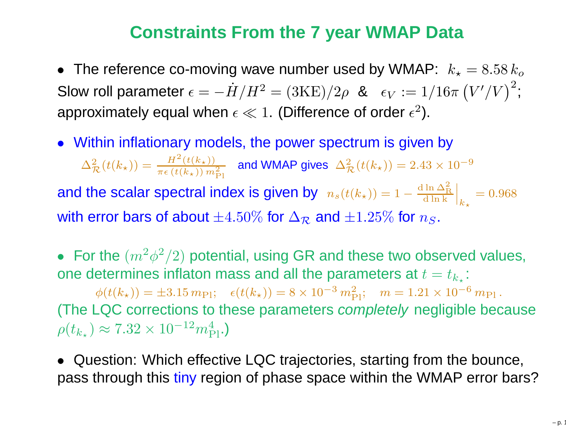#### **Constraints From the <sup>7</sup> year WMAP Data**

 $\bullet~$  The reference co-moving wave number used by WMAP:  $~k_{\star}$ Slow roll parameter  $\epsilon=-\dot{H}/H^2=(3\text{KE})/2\rho$  &  $\epsilon_V:=1/16\pi\left(V'/V\right)^2/2$  $_{\star} = 8.58\,k_o$ approximately equal when  $\epsilon\ll1$ . (Difference of order  $\epsilon^2$ ). ;<br>;

• Within inflationary models, the power spectrum is given by  $\Delta_\tau^2$  $\frac{2}{\mathcal{R}}(t(k_{\star})) = \frac{H}{\pi \epsilon}$  $\frac{H^2(t(k_{\star}))}{\pi \epsilon\left(t(k_{\star})\right) m_{\text{F}}^2}$ and the scalar spectral index is given by  $n_s(t(k_{\star})) = 1-\frac{1}{2}$ Pland WMAP gives  $\,\Delta^2_{\tau}$  $\frac{2}{\mathcal{R}}(t(k_{\star})) = 2.43 \times 10^{-7}$ 9 $-\frac{\mathrm{d}\ln\Delta_\mathrm{F}^2}{\mathrm{d}\ln\mathrm{k}}$  $_{\rm R}$  <sup>d</sup> ln <sup>k</sup>I I  $\mathbf{k}$ ⋆ $= 0.968$ with error bars of about  $\pm 4.50\%$  for  $\Delta_{\mathcal{R}}$  $\mathcal{R}$  and  $\pm 1.25\%$  for  $n_S$ .

• For the  $(m^2)$ one determines inflaton mass and all the parameters at  $t=t_{k_\star}$ :  $^2\phi ^2$  $^{2}/2)$  potential, using GR and these two observed values,  $\phi(t(k_{\star})) = \pm 3.15 \, m_{\text{Pl}}; \quad \epsilon(t(k_{\star})) = 8 \times 10^{-3} \, m_{\text{Pl}}^2; \quad m = 1.21 \times 10^{-3} \, m_{\text{Pl}}^2$ (The LQC corrections to these parameters completely negligible because ; $^3\,m_\texttt{t}^2$  $\frac{2}{\text{Pl}}$ ;  $m = 1.21 \times 10^{-6}$ ; $^\circ$   $m_{\rm Pl}$  .  $\rho(t_{k_{\star}}) \approx 7.32 \times 10^{-12}$  $^2m_\mathrm{\scriptscriptstyle L}^4$  $_{\rm Pl}^4$  .)

• Question: Which effective LQC trajectories, starting from the bounce,<br>pass through this tipy region of phase space within the WMAD error ber pass through this <mark>tiny</mark> region of phase space within the WMAP error bars?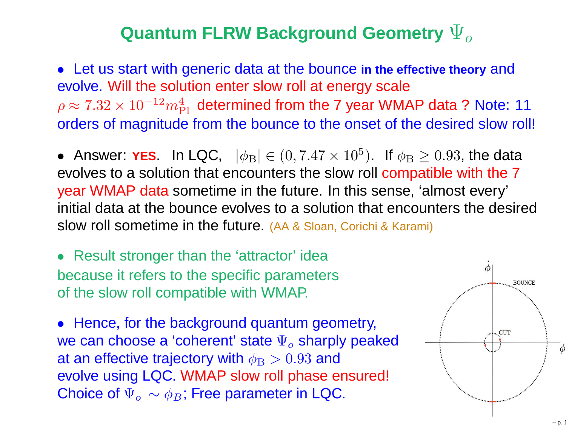## ${\bf \Psi}_o$  **Quantum <code>FLRW</code> Background Geometry**  $\Psi_o$

• Let us start with generic data at the bounce **in the effective theory** and evolve. Will the solution enter slow roll at energy scale $\rho \approx 7.32 \times 10^{-12} m_{\rm Pl}^4$  determined from the 7 year WM orders of magnitude from the bounce to the onset of the desired slow roll!  $^2m_\mathrm{\scriptscriptstyle L}^4$  $_{\rm Pl}^4$  determined from the 7 year WMAP data ? Note: 11

• Answer:  $YES$ . In LQC,  $|\phi_{\rm B}| \in (0, 7.47 \times 10^5$  evolves to <sup>a</sup> solution that encounters the slow roll compatible with the <sup>7</sup> $^5$ ). If  $\phi_{\rm B} \ge 0.93$ , the data year WMAP data sometime in the future. In this sense, 'almost every' initial data at the bounce evolves to <sup>a</sup> solution that encounters the desiredslow roll sometime in the future. (AA & Sloan, Corichi & Karami)

• Result stronger than the 'attractor' idea because it refers to the specific parametersof the slow roll compatible with WMAP.

• Hence, for the background quantum geometry, we can choose a 'coherent' state  $\Psi_o$ at an effective trajectory with  $\phi_\mathrm{B}>0.93$  and  $_o$  sharply peaked evolve using LQC. WMAP slow roll phase ensured! Choice of  $\Psi_o\,\sim\phi_B;$  Free parameter in LQC.

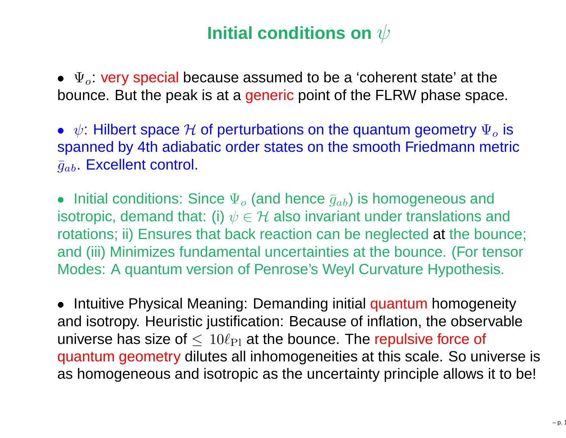# **Initial conditions on**  $\psi$

•  $\Psi_o$ : very special because assumed to be a 'coherent state' at the bounce. But the peak is at a <mark>generic</mark> point of the FLRW phase space.

•  $\psi$ : Hilbert space  $\mathcal H$  of perturbations on the quantum geometry  $\Psi_o$  is anonned by 4th adiabatic erder states on the smooth Friedmann motri spanned by 4th adiabatic order states on the smooth Friedmann metric $\bar{g}_{ab}$ . Excellent control.

•**•** Initial conditions: Since  $\Psi_o$  (and hence  $\bar{g}_{ab}$ ) is homogeneous and isotropic, demand that: (i)  $\psi \in \mathcal{H}$  also invariant under translations and<br>retations: ii) Ensures that back reaction can be neglected at the bound rotations; ii) Ensures that back reaction can be neglected at the bounce; and (iii) Minimizes fundamental uncertainties at the bounce. (For tensorModes: A quantum version of Penrose's Weyl Curvature Hypothesis.

• Intuitive Physical Meaning: Demanding initial quantum homogeneity<br>and isotropy. Houristic justification: Because of inflation, the observable and isotropy. Heuristic justification: Because of inflation, the observableuniverse has size of  $\leq\ 10\ell_{\rm Pl}$  at the bounce. The repulsive force of<br>quentum geometry dilutes all inhemagemetries at this seals. So un quantum geometry dilutes all inhomogeneities at this scale. So universe is as homogeneous and isotropic as the uncertainty principle allows it to be!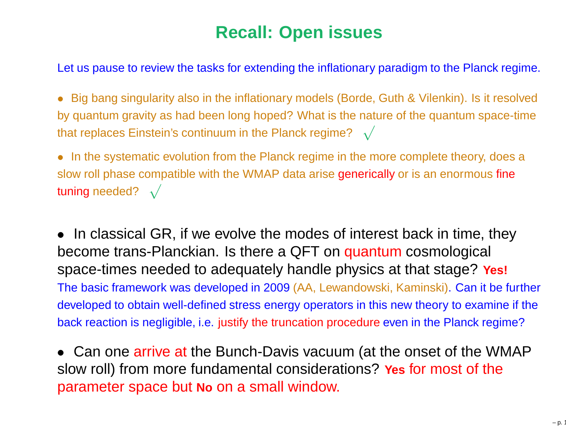### **Recall: Open issues**

Let us pause to review the tasks for extending the inflationary paradigm to the Planck regime.

- Big bang singularity also in the inflationary models (Borde, Guth & Vilenkin). Is it resolvedby quantum gravity as had been long hoped? What is the nature of the quantum space-timethat replaces Einstein's continuum in the Planck regime?  $\;\sqrt$
- In the systematic evolution from the Planck regime in the more complete theory, does <sup>a</sup>slow roll phase compatible with the WMAP data arise generically or is an enormous fine tuning needed?  $\sqrt{ }$
- • In classical GR, if we evolve the modes of interest back in time, they become trans-Planckian. Is there a QFT on quantum cosmological<br>space, times peodod to adequately bendle physics of that stoge? **Y** space-times needed to adequately handle physics at that stage? **Yes!** The basic framework was developed in 2009 (AA, Lewandowski, Kaminski). Can it be further developed to obtain well-defined stress energy operators in this new theory to examine if the back reaction is negligible, i.e. justify the truncation procedure even in the Planck regime?
- Can one arrive at the Bunch-Davis vacuum (at the onset of the WMAP slow roll) from more fundamental considerations? **Yes** for most of the parameter space but **No** on <sup>a</sup> small window.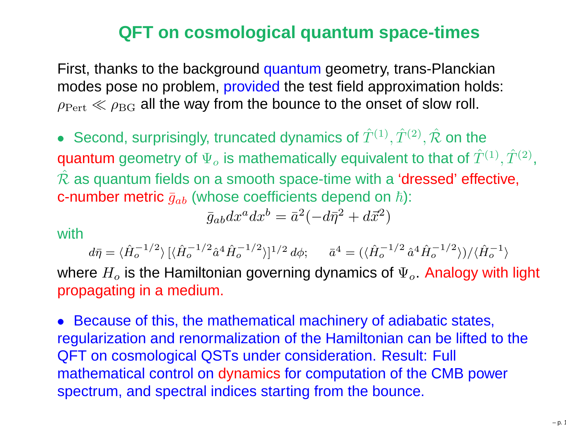#### **QFT on cosmological quantum space-times**

First, thanks to the background quantum geometry, trans-Planckian<br>modes pess no problem, provided the test field epproximation hold: modes pose no problem, <mark>provided</mark> the test field approximation holds:  $\rho_{\mathrm{Pert}}\ll\rho_{\mathrm{BG}}$  all the way from the bounce to the onset of slow roll.

• Second, surprisingly, truncated dynamics of  $\hat{T}^{(1)}, \hat{T}^{(2)}, \hat{\mathcal{R}}$  on the quantum geometry of  $\Psi_o$  is mathematically equivalent to that of  $\tilde{T}$  $\hat{\mathcal{R}}$  as quantum fields on a smooth space-time with a 'dressed' effective,  $_o$  is mathematically equivalent to that of  $\hat T^{(1)}, \hat T^{(2)},$ **c-number metric**  $\bar{g}_{ab}$  (whose coefficients depend on  $\hbar$ ):

$$
\bar{g}_{ab}dx^a dx^b = \bar{a}^2(-d\bar{\eta}^2 + d\vec{x}^2)
$$

with

 $d\bar{\eta}=$  $=\langle \hat{H}_o^{-1}$  $\frac{1}{\sqrt{2}}$ 2 $\langle \hat{H}_o^{-1/2}\rangle$   $[\langle \hat{H}_o^{-1}$  $\frac{1}{\sqrt{2}}$ 2 $\bar{a}^{1/2}\hat{a}^{4}$  $^4\hat{H}_{o}^{-1}$  $\frac{1}{\sqrt{2}}$ 2 $\binom{-1/2}{0}$ ]<sup>1</sup>  $\frac{1}{\sqrt{2}}$  $^{2}d\phi;\,\,\,\,\,\,\,\,\,\bar{a}^{4}=(\langle \hat{H}_{o}^{-1}% \rangle)^{2}=\langle \hat{H}_{o}^{-1}\rangle^{2}$  $\frac{1}{\sqrt{2}}$ 2 $\int_{0}^{-1/2} \hat{a}^{4}$  $^4\hat{H}_{o}^{-1}$  $\frac{1}{\sqrt{2}}$ 2 $\langle \hat{H}_o^{-1/2}\rangle)/\langle \hat{H}_o^{-1}\rangle$  $\begin{pmatrix} -1 \\ 0 \end{pmatrix}$ 

where  $H_o$  is the Hamiltonian governing dynamics of  $\Psi_o$  . Analogy with light propagating in <sup>a</sup> medium.

• Because of this, the mathematical machinery of adiabatic states, regularization and renormalization of the Hamiltonian can be lifted to the QFT on cosmological QSTs under consideration. Result: Full mathematical control on dynamics for computation of the CMB power spectrum, and spectral indices starting from the bounce.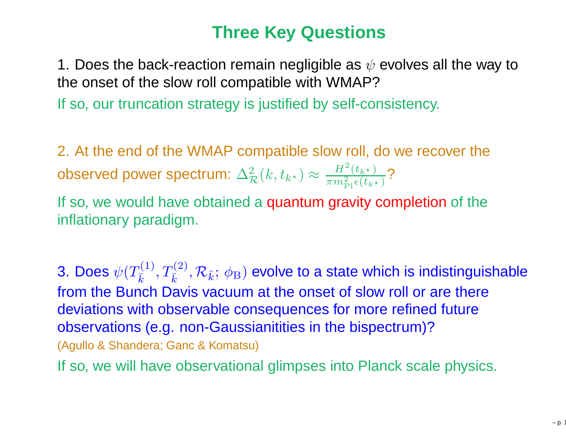## **Three Key Questions**

1. Does the back-reaction remain negligible as  $\psi$  evolves all the way to the onset of the slow roll compatible with WMAP?

If so, our truncation strategy is justified by self-consistency.

2. At the end of the WMAP compatible slow roll, do we recover theobserved power spectrum:  $\Delta_{\mathcal{R}}^2(k, t_{k^\star})$   $\approx$  $\approx \frac{H^2(t_{k^\star})}{\pi m_{\rm Pl}^2 \epsilon(t_{k^\star})}$ ?

If so, we would have obtained a quantum gravity completion of the inflationary paradigm.

3. Does  $\psi(T_{\bar k}^{(1)}, T_{\bar k}^{(2)}, {\cal R}_{\bar k}; \, \phi_{\rm B})$  evolve to a state which is indistinguishable from the Bunch Davis vacuum at the onset of slow roll or are theredeviations with observable consequences for more refined futureobservations (e.g. non-Gaussianitities in the bispectrum)?(Agullo & Shandera; Ganc & Komatsu)

If so, we will have observational glimpses into Planck scale physics.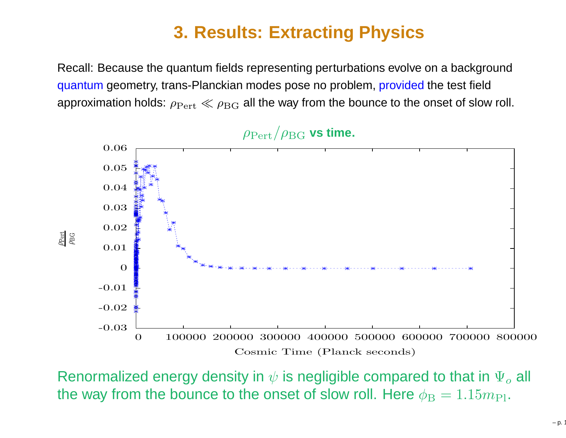## **3. Results: Extracting Physics**

Recall: Because the quantum fields representing perturbations evolve on <sup>a</sup> backgroundquantum geometry, trans-Planckian modes pose no problem, provided the test field approximation holds:  $\rho_{\text{Pert}}\ll\rho_{\text{BG}}$  all the way from the bounce to the onset of slow roll.



Renormalized energy density in  $\psi$  is negligible compared to that in  $\Psi_o$ the way from the bounce to the onset of slow roll. Here  $\phi_{\rm B} = 1.15 m_{\rm Pl}.$  $_o$  all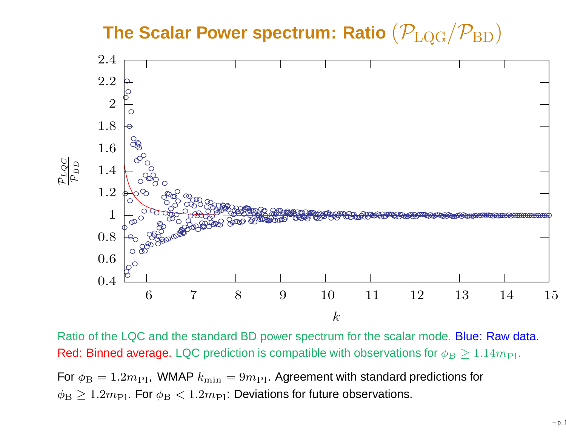**The Scalar Power spectrum: Ratio**(PLQG/PBD)



Ratio of the LQC and the standard BD power spectrum for the scalar mode. Blue: Raw data. Red: Binned average. LQC prediction is compatible with observations for  $\phi_{\rm B}\geq1.14m_{\rm Pl}.$ For  $\phi_{\rm B} = 1.2 m_{\rm Pl}$ , WMAP  $k_{\rm min} = 9 m_{\rm Pl}$ . Agreement with standard predictions for  $\phi_{\rm B}\geq1.2m_{\rm Pl}.$  For  $\phi_{\rm B}<1.2m_{\rm Pl}$ : Deviations for future observations.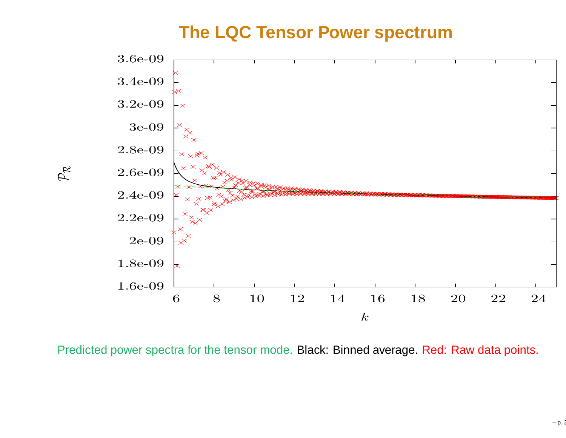#### **The LQC Tensor Power spectrum**



Predicted power spectra for the tensor mode. Black: Binned average. Red: Raw data points.

 $\mathcal{P}_{\mathcal{R}}$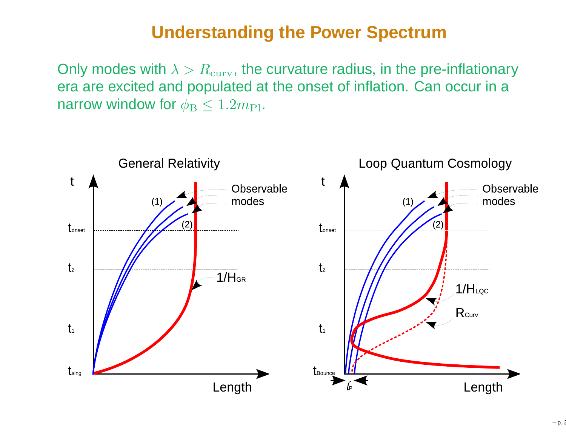#### **Understanding the Power Spectrum**

Only modes with  $\lambda > R_{\rm curv}$ , the curvature radius, in the pre-inflationary era are excited and populated at the onset of inflation. Can occur in <sup>a</sup>narrow window for  $\phi_\mathrm{B}\leq1.2m_\mathrm{Pl}.$ 

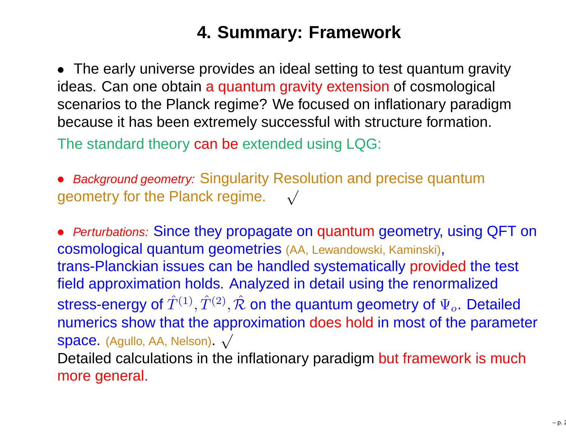## **4. Summary: Framework**

• The early universe provides an ideal setting to test quantum gravity<br>ideas. Can ana obtain a quantum gravity axtonsion of cosmological ideas. Can one obtain <sup>a</sup> quantum gravity extension of cosmological scenarios to the Planck regime? We focused on inflationary paradigmbecause it has been extremely successful with structure formation.

The standard theory <mark>can be</mark> extended using LQG:

**• Background geometry: Singularity Resolution and precise quantum** geometry for the Planck regime.  $\quad$   $\sqrt{}$ 

• *Perturbations:* Since they propagate on quantum geometry, using QFT on<br>cosmological quantum geometries (AA Lawadaweki Kaminaki) cosmological quantum geometries (AA, Lewandowski, Kaminski), trans-Planckian issues can be handled systematically provided the test field approximation holds. Analyzed in detail using the renormalizedstress-energy of  $\hat T^{(1)}, \hat T^{(2)}, \hat {\mathcal R}$  on the quantum geometry of  $\Psi_o.$  Detailed numerics show that the approximation does hold in most of the parameter Space. (Agullo, AA, Nelson).  $\sqrt{}$ Detailed calculations in the inflationary paradigm but framework is much<br>mere general more general.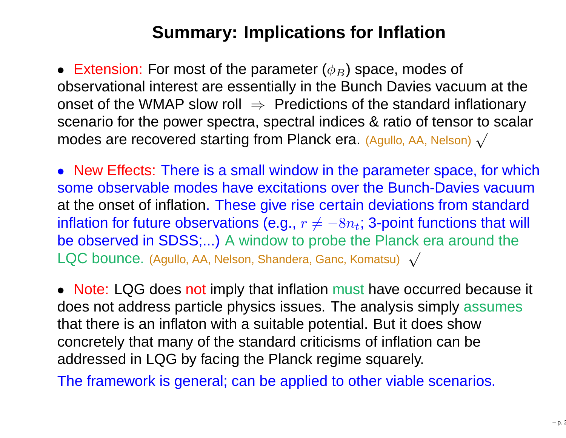## **Summary: Implications for Inflation**

• Extension: For most of the parameter  $(\phi_B)$  space, modes of observational interest are essentially in the Bunch Davies vacuum at theonset of the WMAP slow roll ⇒ Predictions of the standard inflationary<br>scenario for the nower spectra\_spectral indices & ratio of tensor to scala scenario for the power spectra, spectral indices & ratio of tensor to scalarmodes are recovered starting from Planck era. (Agullo, AA, Nelson)  $\surd$ 

• New Effects: There is a small window in the parameter space, for which some observable modes have excitations over the Bunch-Davies vacuum at the onset of inflation. These give rise certain deviations from standardinflation for future observations (e.g.,  $r\neq-8n_{t};$  3-point functions that wi be observed in SDSS;...) <sup>A</sup> window to probe the Planck era around the $-8n_t$ ; 3-point functions that will  $\mathsf{LQC}$  bounce. (Agullo, AA, Nelson, Shandera, Ganc, Komatsu)  $\;\sqrt$ 

• Note: LQG does not imply that inflation must have occurred because it does not address particle physics issues. The analysis simply assumesthat there is an inflaton with <sup>a</sup> suitable potential. But it does show concretely that many of the standard criticisms of inflation can be addressed in LQG by facing the Planck regime squarely.

The framework is general; can be applied to other viable scenarios.